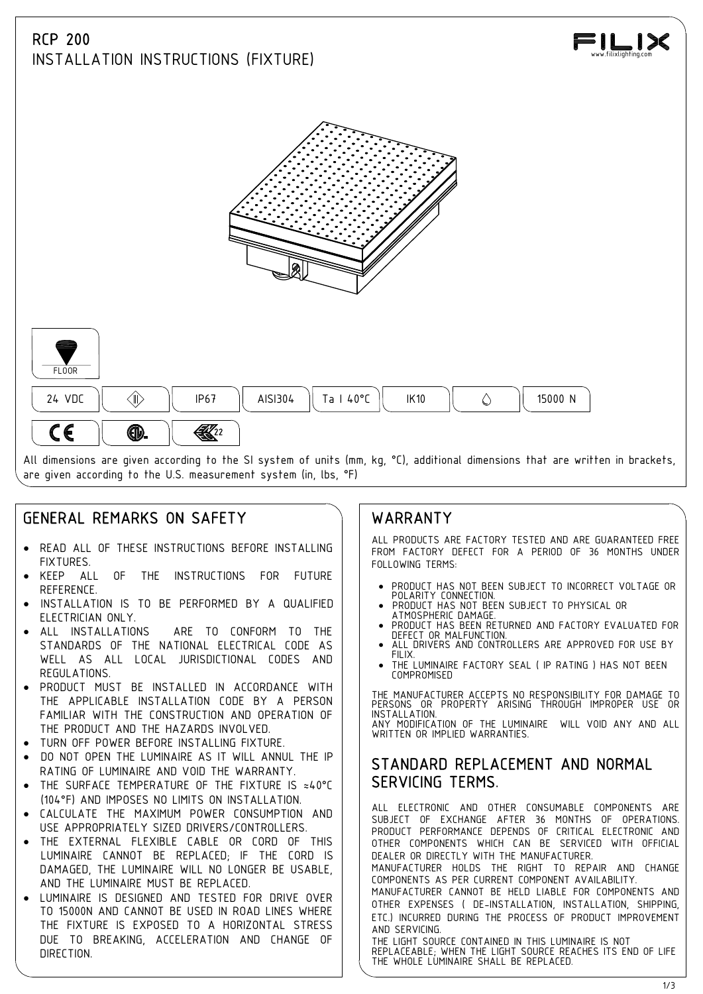# RCP 200 INSTALLATION INSTRUCTIONS (FIXTURE)







All dimensions are given according to the SI system of units (mm, kg, °C), additional dimensions that are written in brackets, are given according to the U.S. measurement system (in, lbs, °F)

# GENERAL REMARKS ON SAFETY

- · READ ALL OF THESE INSTRUCTIONS BEFORE INSTALLING **FIXTURES**
- KEEP ALL OF THE INSTRUCTIONS FOR FUTURE REFERENCE.
- INSTALLATION IS TO BE PERFORMED BY A QUALIFIED | . PRODUCT HAS NOT BEEN SUBJECT TO PHYSICAL OR<br>FIFCTRICIAN ONLY ELECTRICIAN ONLY.
- ALL INSTALLATIONS ARE TO CONFORM TO THE | | DEFECT OR MALFUNCTION. STANDARDS OF THE NATIONAL ELECTRICAL CODE AS **ALL**<br>WELL AS ALL LOCAL UUDISDICTIONAL CODES AND WELL AS ALL LOCAL JURISDICTIONAL CODES AND REGULATIONS.
- PRODUCT MUST BE INSTALLED IN ACCORDANCE WITH THE APPLICABLE INSTALLATION CODE BY A PERSON FAMILIAR WITH THE CONSTRUCTION AND OPERATION OF THE PRODUCT AND THE HAZARDS INVOLVED.
- TURN OFF POWER BEFORE INSTALLING FIXTURE.
- DO NOT OPEN THE LUMINAIRE AS IT WILL ANNUL THE IP RATING OF LUMINAIRE AND VOID THE WARRANTY.
- THE SURFACE TEMPERATURE OF THE FIXTURE IS ≈40°C (104°F) AND IMPOSES NO LIMITS ON INSTALLATION.
- CALCULATE THE MAXIMUM POWER CONSUMPTION AND USE APPROPRIATELY SIZED DRIVERS/CONTROLLERS.
- · THE EXTERNAL FLEXIBLE CABLE OR CORD OF THIS LUMINAIRE CANNOT BE REPLACED; IF THE CORD IS DAMAGED, THE LUMINAIRE WILL NO LONGER BE USABLE, AND THE LUMINAIRE MUST BE REPLACED.
- LUMINAIRE IS DESIGNED AND TESTED FOR DRIVE OVER TO 15000N AND CANNOT BE USED IN ROAD LINES WHERE THE FIXTURE IS EXPOSED TO A HORIZONTAL STRESS DUE TO BREAKING, ACCELERATION AND CHANGE OF DIRECTION.

## WARRANTY

ALL PRODUCTS ARE FACTORY TESTED AND ARE GUARANTEED FREE FROM FACTORY DEFECT FOR A PERIOD OF 36 MONTHS UNDER FOLLOWING TERMS:

- · PRODUCT HAS NOT BEEN SUBJECT TO INCORRECT VOLTAGE OR POLARITY CONNECTION. · PRODUCT HAS NOT BEEN SUBJECT TO PHYSICAL OR
- 
- PRODUCT HAS BEEN RETURNED AND FACTORY EVALUATED FOR
- ALL DRIVERS AND CONTROLLERS ARE APPROVED FOR USE BY
- THE LUMINAIRE FACTORY SEAL ( IP RATING ) HAS NOT BEEN COMPROMISED

THE MANUFACTURER ACCEPTS NO RESPONSIBILITY FOR DAMAGE TO PERSONS OR PROPERTY ARISING THROUGH IMPROPER USE OR INSTALLATION. ANY MODIFICATION OF THE LUMINAIRE WILL VOID ANY AND ALL WRITTEN OR IMPLIED WARRANTIES.

## STANDARD REPLACEMENT AND NORMAL SERVICING TERMS.

ALL ELECTRONIC AND OTHER CONSUMABLE COMPONENTS ARE SUBJECT OF EXCHANGE AFTER 36 MONTHS OF OPERATIONS. PRODUCT PERFORMANCE DEPENDS OF CRITICAL ELECTRONIC AND OTHER COMPONENTS WHICH CAN BE SERVICED WITH OFFICIAL DEALER OR DIRECTLY WITH THE MANUFACTURER.

MANUFACTURER HOLDS THE RIGHT TO REPAIR AND CHANGE COMPONENTS AS PER CURRENT COMPONENT AVAILABILITY.

MANUFACTURER CANNOT BE HELD LIABLE FOR COMPONENTS AND OTHER EXPENSES ( DE-INSTALLATION, INSTALLATION, SHIPPING, ETC.) INCURRED DURING THE PROCESS OF PRODUCT IMPROVEMENT AND SERVICING.

THE LIGHT SOURCE CONTAINED IN THIS LUMINAIRE IS NOT REPLACEABLE; WHEN THE LIGHT SOURCE REACHES ITS END OF LIFE THE WHOLE LUMINAIRE SHALL BE REPLACED.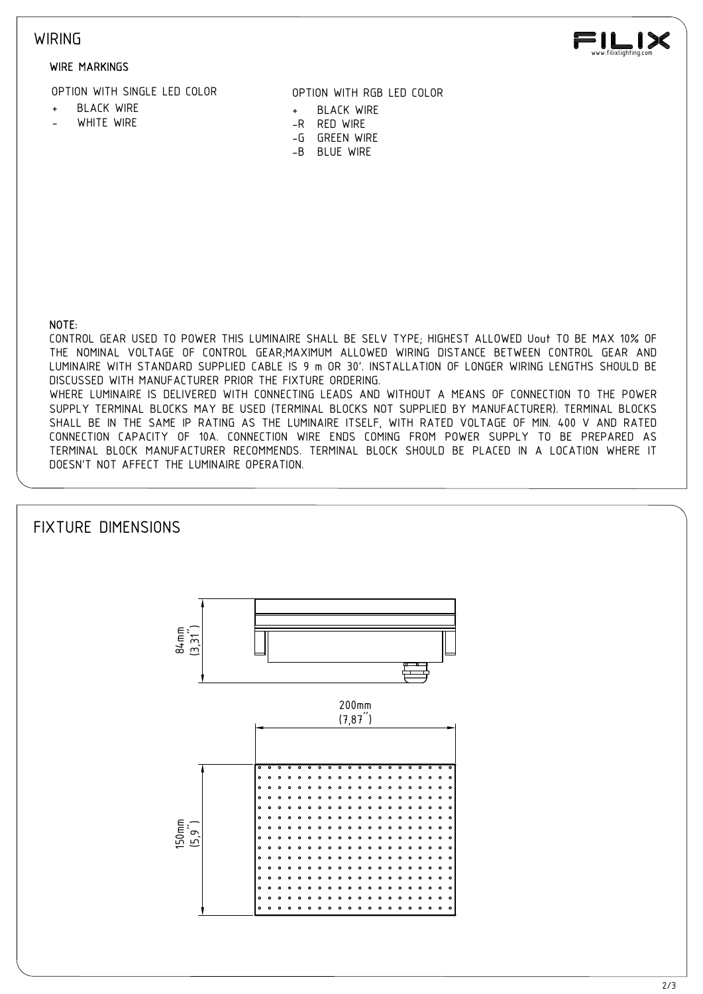#### **WIRING**

#### WIRE MARKINGS

-<br>WIRE MARKINGS<br>HEACK WIRE LED COLOR<br>- BLACK WIRE + BLACK WIRE<br>- WHITE WIRE + BLACK WIRE<br>-- SILUE WIRE -- BLUE WIRE<br>-- BLUE WIRE<br>-- BLUE WIRE<br>-- BLUE WIRE<br>-- BLUE WIRE - WIRE MARKINGS<br>- WHITE WIRE LED COLOR<br>- WHITE WIRE - WHITE WIRE - WHITE WIRE<br>- WHITE WIRE - GREEN WIRE - GREEN WIRE<br>- B BLUE WIRE - B BLUE WIRE<br>- B BLUE WIRE OPTION WITH SINGLE LED COLOR

- 
- 
- OPTION WITH RGB LED COLOR
- 
- 
- 
- 



CONTROL GEAR USED TO POWER THIS LUMINAIRE SHALL BE SELV TYPE; HIGHEST ALLOWED Uout TO BE MAX 10% OF THE NOMINAL VOLTAGE OF CONTROL GEAR;MAXIMUM ALLOWED WIRING DISTANCE BETWEEN CONTROL GEAR AND LUMINAIRE WITH STANDARD SUPPLIED CABLE IS 9 m OR 30'. INSTALLATION OF LONGER WIRING LENGTHS SHOULD BE DISCUSSED WITH MANUFACTURER PRIOR THE FIXTURE ORDERING. WHERE LUMINAIRE IS DELIVERED WITH CONNECTING LEADS AND WITHOUT A MEANS OF CONNECTION TO THE POWER SUPPLY TERMINAL BLOCKS MAY BE USED (TERMINAL BLOCKS NOT SUPPLIED BY MANUFACTURER). TERMINAL BLOCKS SHALL BE IN THE SAME IP RATING AS THE LUMINAIRE ITSELF, WITH RATED VOLTAGE OF MIN. 400 V AND RATED CONNECTION CAPACITY OF 10A. CONNECTION WIRE ENDS COMING FROM POWER SUPPLY TO BE PREPARED AS TERMINAL BLOCK MANUFACTURER RECOMMENDS. TERMINAL BLOCK SHOULD BE PLACED IN A LOCATION WHERE IT DOESN'T NOT AFFECT THE LUMINAIRE OPERATION.